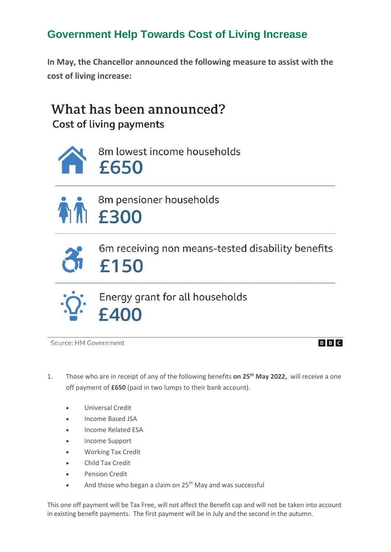## **Government Help Towards Cost of Living Increase**

**In May, the Chancellor announced the following measure to assist with the cost of living increase:**

## What has been announced?

Cost of living payments



8m lowest income households £650



8m pensioner households £300



6m receiving non means-tested disability benefits £150



Energy grant for all households FAN

Source: HM Government

## **BBC**

- 1. Those who are in receipt of any of the following benefits **on 25th May 2022,** will receive a one off payment of **£650** (paid in two lumps to their bank account).
	- Universal Credit
	- Income Based JSA
	- Income Related ESA
	- Income Support
	- Working Tax Credit
	- Child Tax Credit
	- Pension Credit
	- And those who began a claim on  $25<sup>th</sup>$  May and was successful

This one off payment will be Tax Free, will not affect the Benefit cap and will not be taken into account in existing benefit payments. The first payment will be in July and the second in the autumn.